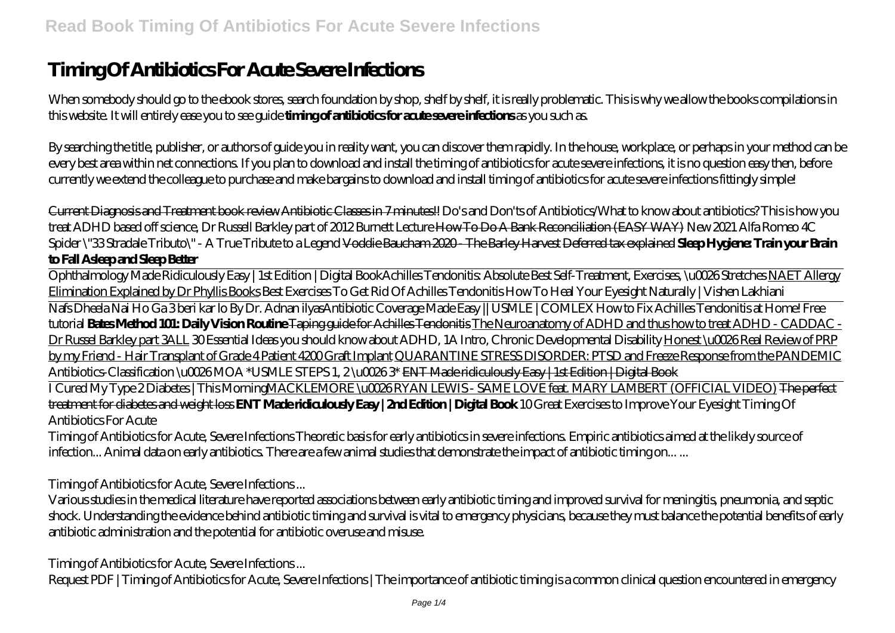# **Timing Of Antibiotics For Acute Severe Infections**

When somebody should go to the ebook stores, search foundation by shop, shelf by shelf, it is really problematic. This is why we allow the books compilations in this website. It will entirely ease you to see guide **timing of antibiotics for acute severe infections** as you such as.

By searching the title, publisher, or authors of guide you in reality want, you can discover them rapidly. In the house, workplace, or perhaps in your method can be every best area within net connections. If you plan to download and install the timing of antibiotics for acute severe infections, it is no question easy then, before currently we extend the colleague to purchase and make bargains to download and install timing of antibiotics for acute severe infections fittingly simple!

Current Diagnosis and Treatment book review Antibiotic Classes in 7 minutes!! *Do's and Don'ts of Antibiotics/What to know about antibiotics? This is how you treat ADHD based off science, Dr Russell Barkley part of 2012 Burnett Lecture* How To Do A Bank Reconciliation (EASY WAY) New 2021 Alfa Romeo 4C Spider \"33 Stradale Tributo\" - A True Tribute to a Legend Voddie Baucham 2020 - The Barley Harvest Deferred tax explained **Sleep Hygiene: Train your Brain to Fall Asleep and Sleep Better**

Ophthalmology Made Ridiculously Easy | 1st Edition | Digital Book*Achilles Tendonitis: Absolute Best Self-Treatment, Exercises, \u0026 Stretches* NAET Allergy Elimination Explained by Dr Phyllis Books Best Exercises To Get Rid Of Achilles Tendonitis How To Heal Your Eyesight Naturally | Vishen Lakhiani

Nafs Dheela Nai Ho Ga 3 beri kar lo By Dr. Adnan ilyas*Antibiotic Coverage Made Easy || USMLE | COMLEX* How to Fix Achilles Tendonitis at Home! Free tutorial **Bates Method 101: Daily Vision Routine** Taping guide for Achilles Tendonitis The Neuroanatomy of ADHD and thus how to treat ADHD - CADDAC - Dr Russel Barkley part 3ALL *30 Essential Ideas you should know about ADHD, 1A Intro, Chronic Developmental Disability* Honest \u0026 Real Review of PRP by my Friend - Hair Transplant of Grade 4 Patient 4200 Graft Implant QUARANTINE STRESS DISORDER: PTSD and Freeze Response from the PANDEMIC Antibiotics-Classification \u0026MOA \*USMLE STEPS 1, 2 \u00263\* ENT Made ridiculously Easy | 1st Edition | Digital Book

I Cured My Type 2 Diabetes | This MorningMACKLEMORE \u0026 RYAN LEWIS - SAME LOVE feat. MARY LAMBERT (OFFICIAL VIDEO) The perfect treatment for diabetes and weight loss **ENT Made ridiculously Easy | 2nd Edition | Digital Book** 10 Great Exercises to Improve Your Eyesight Timing Of Antibiotics For Acute

Timing of Antibiotics for Acute, Severe Infections Theoretic basis for early antibiotics in severe infections. Empiric antibiotics aimed at the likely source of infection... Animal data on early antibiotics. There are a few animal studies that demonstrate the impact of antibiotic timing on... ...

Timing of Antibiotics for Acute, Severe Infections ...

Various studies in the medical literature have reported associations between early antibiotic timing and improved survival for meningitis, pneumonia, and septic shock. Understanding the evidence behind antibiotic timing and survival is vital to emergency physicians, because they must balance the potential benefits of early antibiotic administration and the potential for antibiotic overuse and misuse.

Timing of Antibiotics for Acute, Severe Infections ...

Request PDF | Timing of Antibiotics for Acute, Severe Infections | The importance of antibiotic timing is a common clinical question encountered in emergency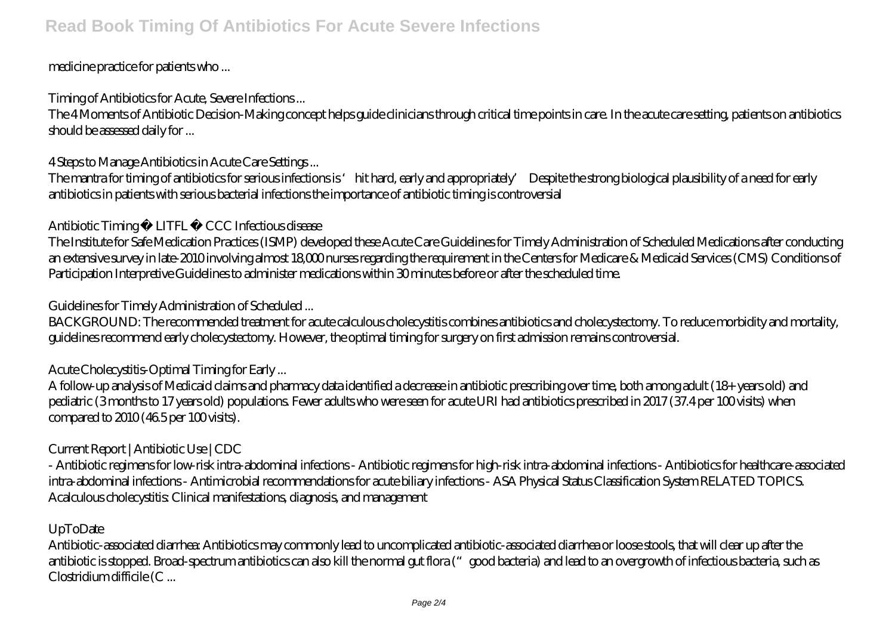## medicine practice for patients who ...

Timing of Antibiotics for Acute, Severe Infections ...

The 4 Moments of Antibiotic Decision-Making concept helps guide clinicians through critical time points in care. In the acute care setting, patients on antibiotics should be assessed daily for ...

4 Steps to Manage Antibiotics in Acute Care Settings ...

The mantra for timing of antibiotics for serious infections is 'hit hard, early and appropriately' Despite the strong biological plausibility of a need for early antibiotics in patients with serious bacterial infections the importance of antibiotic timing is controversial

## Antibiotic Timing • LITFL • CCC Infectious disease

The Institute for Safe Medication Practices (ISMP) developed these Acute Care Guidelines for Timely Administration of Scheduled Medications after conducting an extensive survey in late-2010 involving almost 18,000 nurses regarding the requirement in the Centers for Medicare & Medicaid Services (CMS) Conditions of Participation Interpretive Guidelines to administer medications within 30 minutes before or after the scheduled time.

## Guidelines for Timely Administration of Scheduled ...

BACKGROUND: The recommended treatment for acute calculous cholecystitis combines antibiotics and cholecystectomy. To reduce morbidity and mortality, guidelines recommend early cholecystectomy. However, the optimal timing for surgery on first admission remains controversial.

Acute Cholecystitis-Optimal Timing for Early ...

A follow-up analysis of Medicaid claims and pharmacy data identified a decrease in antibiotic prescribing over time, both among adult (18+ years old) and pediatric (3 months to 17 years old) populations. Fewer adults who were seen for acute URI had antibiotics prescribed in 2017 (37.4 per 100 visits) when compared to  $2010(46.5)$  per 100 visits).

# Current Report | Antibiotic Use | CDC

- Antibiotic regimens for low-risk intra-abdominal infections - Antibiotic regimens for high-risk intra-abdominal infections - Antibiotics for healthcare-associated intra-abdominal infections - Antimicrobial recommendations for acute biliary infections - ASA Physical Status Classification System RELATED TOPICS. Acalculous cholecystitis: Clinical manifestations, diagnosis, and management

#### UpToDate

Antibiotic-associated diarrhea: Antibiotics may commonly lead to uncomplicated antibiotic-associated diarrhea or loose stools, that will clear up after the antibiotic is stopped. Broad-spectrum antibiotics can also kill the normal gut flora ("good bacteria) and lead to an overgrowth of infectious bacteria, such as Clostridium difficile (C ...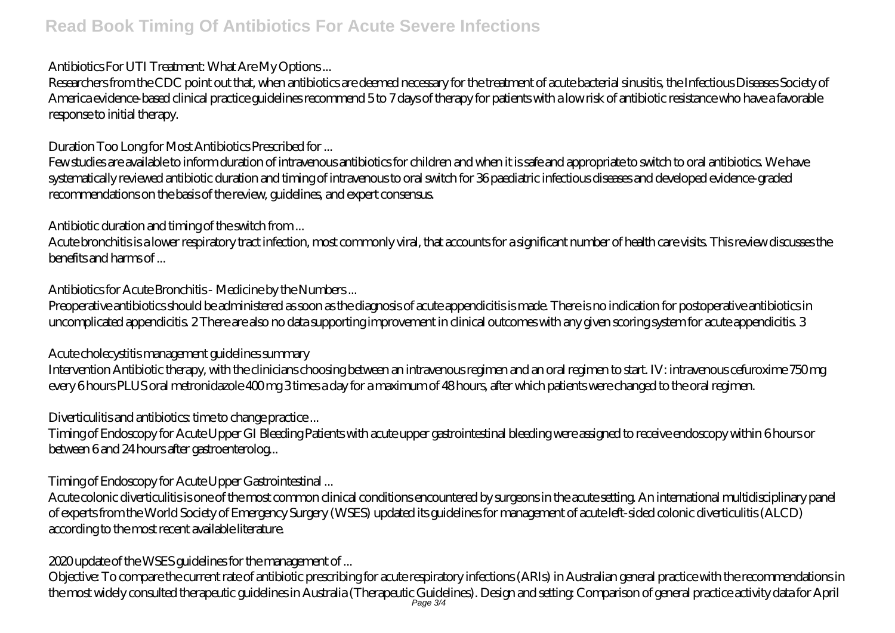# **Read Book Timing Of Antibiotics For Acute Severe Infections**

Antibiotics For UTI Treatment: What Are My Options ...

Researchers from the CDC point out that, when antibiotics are deemed necessary for the treatment of acute bacterial sinusitis, the Infectious Diseases Society of America evidence-based clinical practice guidelines recommend 5 to 7 days of therapy for patients with a low risk of antibiotic resistance who have a favorable response to initial therapy.

Duration Too Long for Most Antibiotics Prescribed for ...

Few studies are available to inform duration of intravenous antibiotics for children and when it is safe and appropriate to switch to oral antibiotics. We have systematically reviewed antibiotic duration and timing of intravenous to oral switch for 36 paediatric infectious diseases and developed evidence-graded recommendations on the basis of the review, guidelines, and expert consensus.

Antibiotic duration and timing of the switch from ...

Acute bronchitis is a lower respiratory tract infection, most commonly viral, that accounts for a significant number of health care visits. This review discusses the benefits and harms of ...

Antibiotics for Acute Bronchitis - Medicine by the Numbers ...

Preoperative antibiotics should be administered as soon as the diagnosis of acute appendicitis is made. There is no indication for postoperative antibiotics in uncomplicated appendicitis. 2 There are also no data supporting improvement in clinical outcomes with any given scoring system for acute appendicitis. 3

Acute cholecystitis management guidelines summary

Intervention Antibiotic therapy, with the clinicians choosing between an intravenous regimen and an oral regimen to start. IV: intravenous cefuroxime 750 mg every 6 hours PLUS oral metronidazole 400 mg 3 times a day for a maximum of 48 hours, after which patients were changed to the oral regimen.

Diverticulitis and antibiotics: time to change practice ...

Timing of Endoscopy for Acute Upper GI Bleeding Patients with acute upper gastrointestinal bleeding were assigned to receive endoscopy within 6 hours or between 6 and 24 hours after gastroenterolog...

Timing of Endoscopy for Acute Upper Gastrointestinal ...

Acute colonic diverticulitis is one of the most common clinical conditions encountered by surgeons in the acute setting. An international multidisciplinary panel of experts from the World Society of Emergency Surgery (WSES) updated its guidelines for management of acute left-sided colonic diverticulitis (ALCD) according to the most recent available literature.

2020 update of the WSES guidelines for the management of ...

Objective: To compare the current rate of antibiotic prescribing for acute respiratory infections (ARIs) in Australian general practice with the recommendations in the most widely consulted therapeutic guidelines in Australia (Therapeutic Guidelines). Design and setting: Comparison of general practice activity data for April Page 3/4